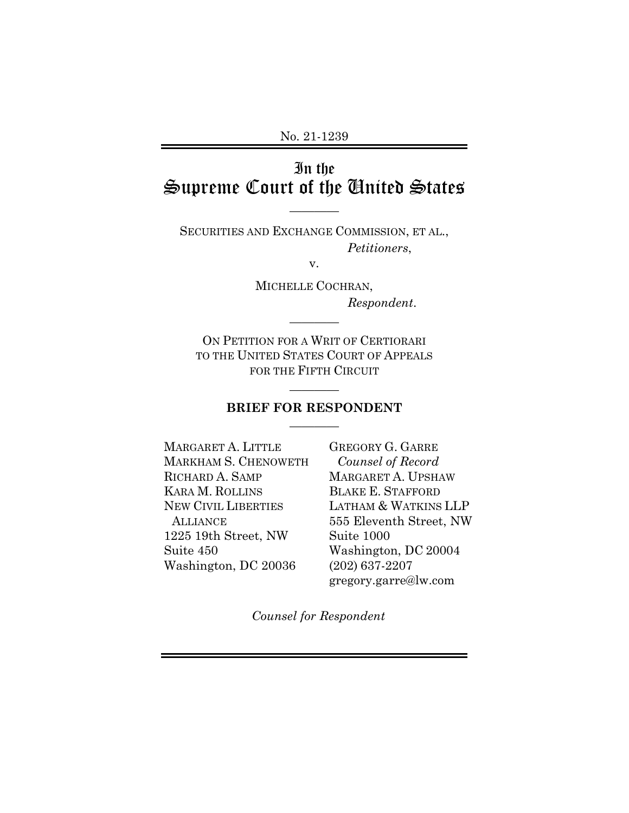No. 21-1239

# In the Supreme Court of the United States

SECURITIES AND EXCHANGE COMMISSION, ET AL., *Petitioners*,

————

v.

MICHELLE COCHRAN, *Respondent*.

ON PETITION FOR A WRIT OF CERTIORARI TO THE UNITED STATES COURT OF APPEALS FOR THE FIFTH CIRCUIT

————

## ———— **BRIEF FOR RESPONDENT**  ————

MARGARET A. LITTLE MARKHAM S. CHENOWETH RICHARD A. SAMP KARA M. ROLLINS NEW CIVIL LIBERTIES **ALLIANCE** 1225 19th Street, NW Suite 450 Washington, DC 20036

GREGORY G. GARRE *Counsel of Record* MARGARET A. UPSHAW BLAKE E. STAFFORD LATHAM & WATKINS LLP 555 Eleventh Street, NW Suite 1000 Washington, DC 20004 (202) 637-2207 gregory.garre@lw.com

*Counsel for Respondent*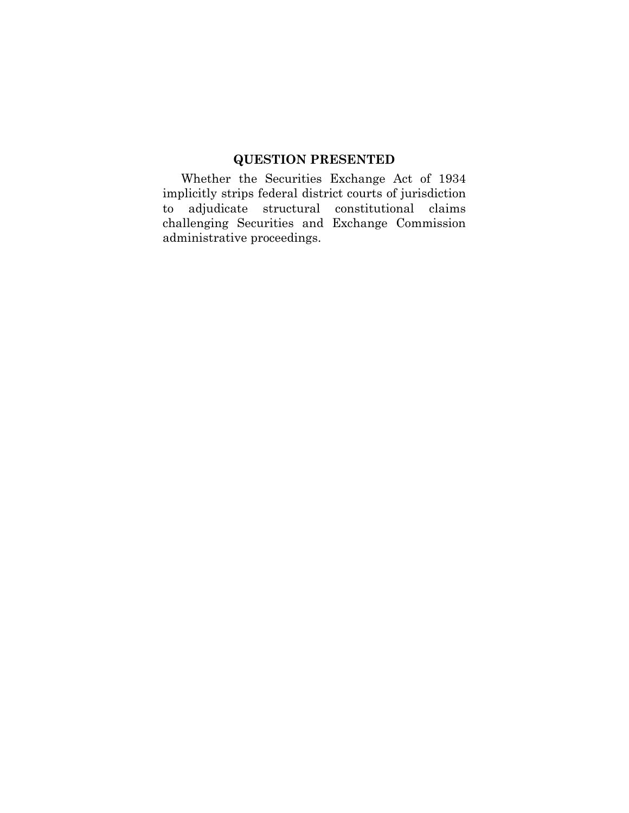### **QUESTION PRESENTED**

Whether the Securities Exchange Act of 1934 implicitly strips federal district courts of jurisdiction to adjudicate structural constitutional claims challenging Securities and Exchange Commission administrative proceedings.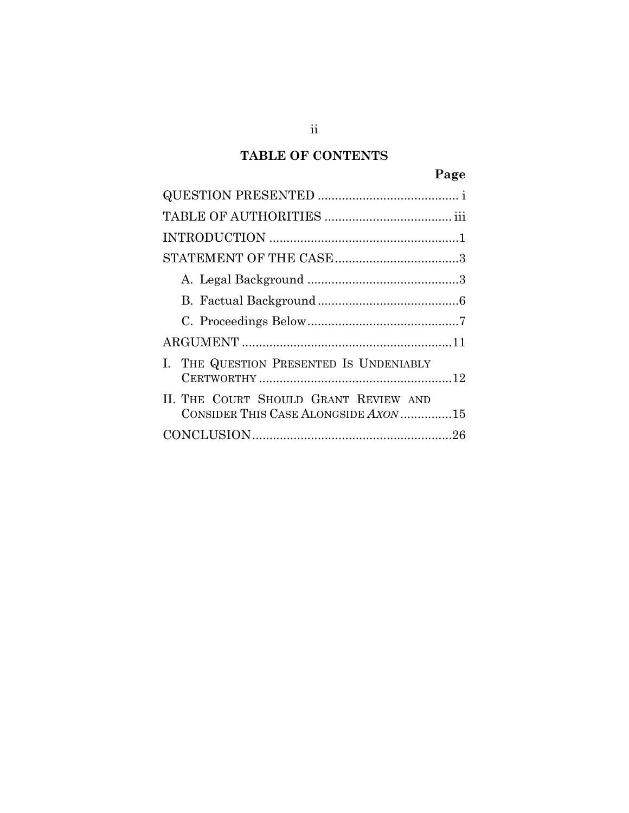## **TABLE OF CONTENTS**

| I. THE QUESTION PRESENTED IS UNDENIABLY                                       |
|-------------------------------------------------------------------------------|
| II. THE COURT SHOULD GRANT REVIEW AND<br>CONSIDER THIS CASE ALONGSIDE AXON 15 |
|                                                                               |

ii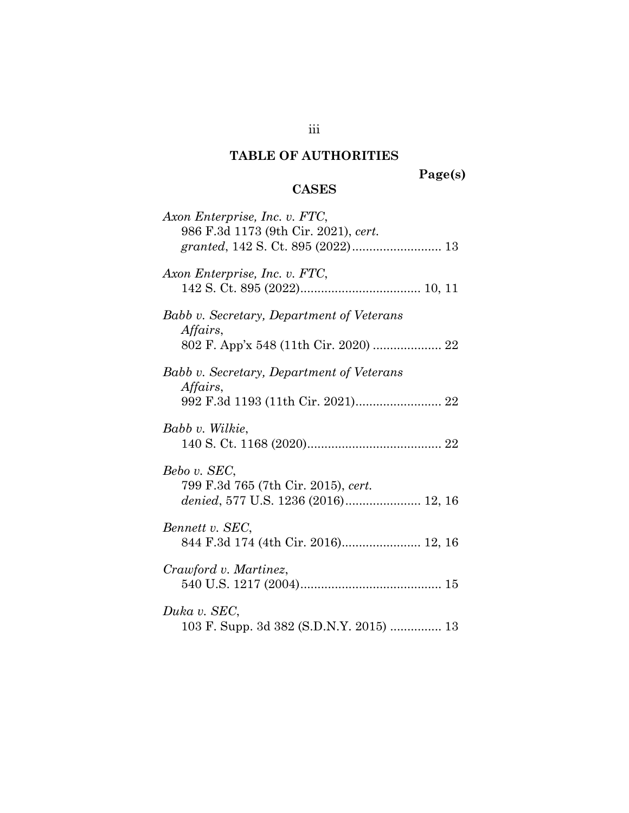# **TABLE OF AUTHORITIES**

**Page(s)** 

## **CASES**

| Axon Enterprise, Inc. v. FTC,<br>986 F.3d 1173 (9th Cir. 2021), cert. |
|-----------------------------------------------------------------------|
|                                                                       |
| Axon Enterprise, Inc. v. FTC,                                         |
| Babb v. Secretary, Department of Veterans<br>Affairs,                 |
| 802 F. App'x 548 (11th Cir. 2020)  22                                 |
| Babb v. Secretary, Department of Veterans<br>Affairs,                 |
|                                                                       |
| Babb v. Wilkie,                                                       |
| Bebo v. SEC,<br>799 F.3d 765 (7th Cir. 2015), cert.                   |
| Bennett v. SEC,<br>844 F.3d 174 (4th Cir. 2016) 12, 16                |
| Crawford v. Martinez,                                                 |
| Duka v. SEC,<br>103 F. Supp. 3d 382 (S.D.N.Y. 2015)  13               |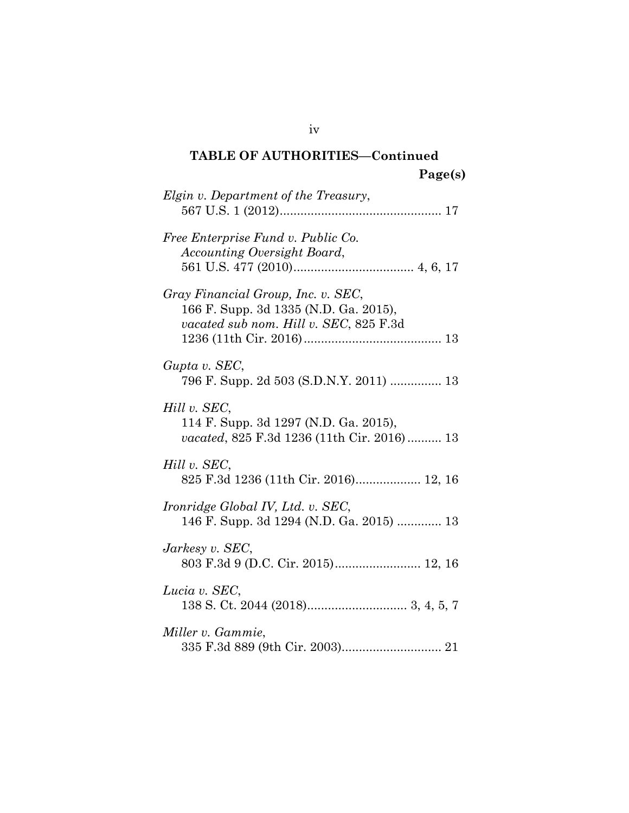# **TABLE OF AUTHORITIES—Continued Page(s)**

| Elgin v. Department of the Treasury,                                                                                  |
|-----------------------------------------------------------------------------------------------------------------------|
| Free Enterprise Fund v. Public Co.<br>Accounting Oversight Board,                                                     |
| Gray Financial Group, Inc. v. SEC,<br>166 F. Supp. 3d 1335 (N.D. Ga. 2015),<br>vacated sub nom. Hill v. SEC, 825 F.3d |
| Gupta v. SEC,<br>796 F. Supp. 2d 503 (S.D.N.Y. 2011)  13                                                              |
| Hill v. SEC,<br>114 F. Supp. 3d 1297 (N.D. Ga. 2015),<br>vacated, 825 F.3d 1236 (11th Cir. 2016) 13                   |
| Hill v. SEC,<br>825 F.3d 1236 (11th Cir. 2016) 12, 16                                                                 |
| Ironridge Global IV, Ltd. v. SEC,<br>146 F. Supp. 3d 1294 (N.D. Ga. 2015)  13                                         |
| Jarkesy v. SEC,                                                                                                       |
| Lucia v. SEC,                                                                                                         |
| Miller v. Gammie,                                                                                                     |

iv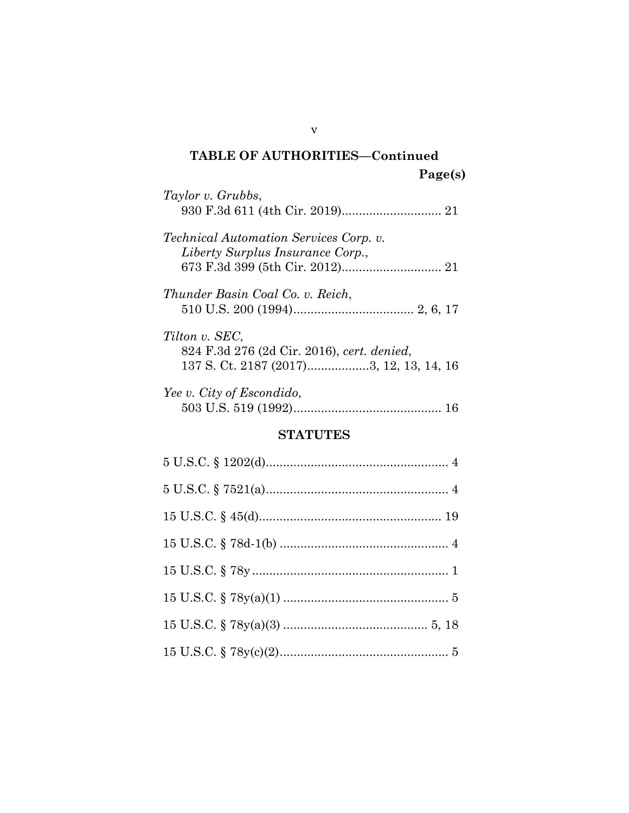# **TABLE OF AUTHORITIES—Continued Page(s)**

| Taylor v. Grubbs,                                                                 |
|-----------------------------------------------------------------------------------|
| <i>Technical Automation Services Corp. v.</i><br>Liberty Surplus Insurance Corp., |
| Thunder Basin Coal Co. v. Reich,                                                  |
| Tilton v. SEC,<br>824 F.3d 276 (2d Cir. 2016), cert. denied,                      |
| Yee v. City of Escondido,                                                         |

### **STATUTES**

v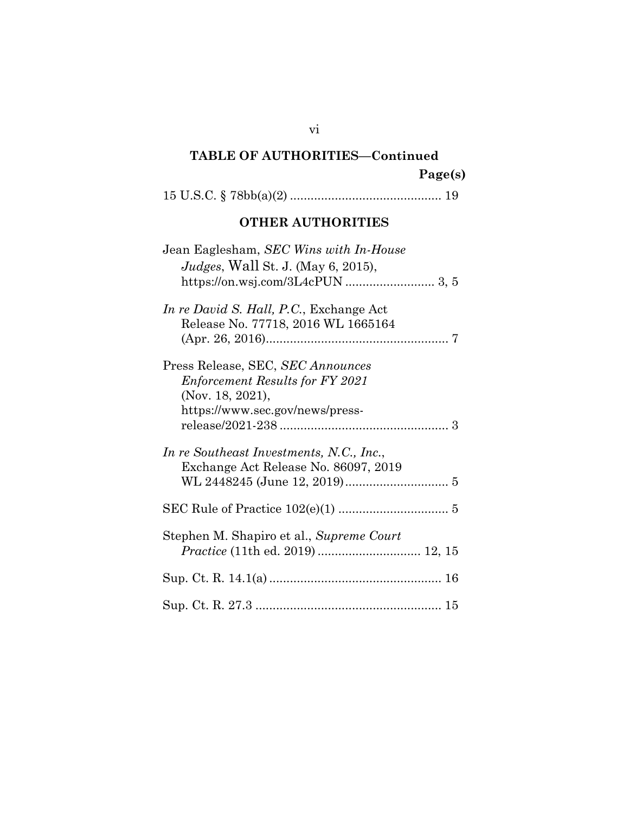# **TABLE OF AUTHORITIES—Continued Page(s)**

15 U.S.C. § 78bb(a)(2) ............................................ 19

## **OTHER AUTHORITIES**

| Jean Eaglesham, SEC Wins with In-House                                           |
|----------------------------------------------------------------------------------|
| <i>Judges</i> , Wall St. J. (May 6, 2015),                                       |
|                                                                                  |
|                                                                                  |
| In re David S. Hall, P.C., Exchange Act<br>Release No. 77718, 2016 WL 1665164    |
|                                                                                  |
| Press Release, SEC, SEC Announces                                                |
| <i>Enforcement Results for FY 2021</i>                                           |
| (Nov. 18, 2021),                                                                 |
|                                                                                  |
| https://www.sec.gov/news/press-                                                  |
|                                                                                  |
| In re Southeast Investments, N.C., Inc.,<br>Exchange Act Release No. 86097, 2019 |
|                                                                                  |
|                                                                                  |
|                                                                                  |
|                                                                                  |
| Stephen M. Shapiro et al., Supreme Court                                         |
| Practice (11th ed. 2019)  12, 15                                                 |
|                                                                                  |
|                                                                                  |
|                                                                                  |
|                                                                                  |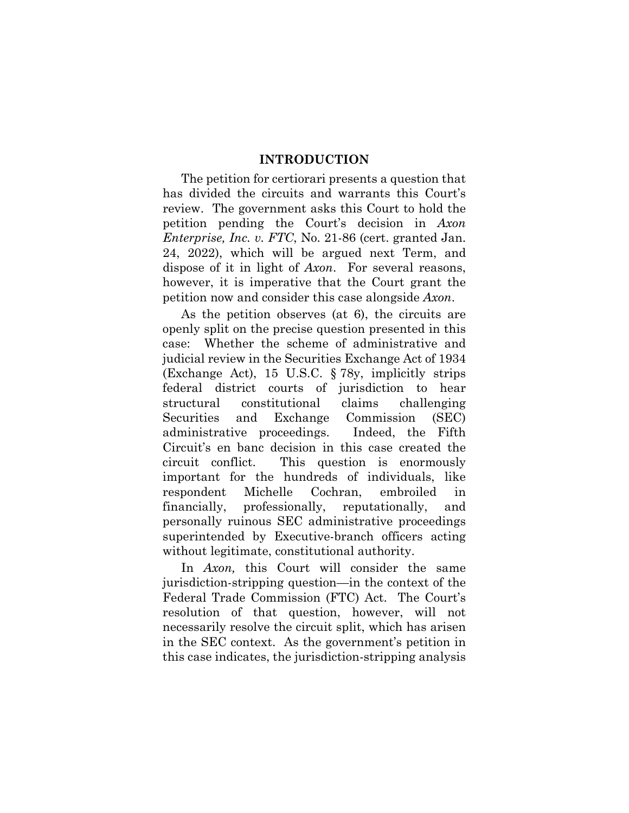#### **INTRODUCTION**

The petition for certiorari presents a question that has divided the circuits and warrants this Court's review. The government asks this Court to hold the petition pending the Court's decision in *Axon Enterprise, Inc. v. FTC*, No. 21-86 (cert. granted Jan. 24, 2022), which will be argued next Term, and dispose of it in light of *Axon*. For several reasons, however, it is imperative that the Court grant the petition now and consider this case alongside *Axon*.

As the petition observes (at 6), the circuits are openly split on the precise question presented in this case: Whether the scheme of administrative and judicial review in the Securities Exchange Act of 1934 (Exchange Act), 15 U.S.C. § 78y, implicitly strips federal district courts of jurisdiction to hear structural constitutional claims challenging Securities and Exchange Commission (SEC) administrative proceedings. Indeed, the Fifth Circuit's en banc decision in this case created the circuit conflict. This question is enormously important for the hundreds of individuals, like respondent Michelle Cochran, embroiled in financially, professionally, reputationally, and personally ruinous SEC administrative proceedings superintended by Executive-branch officers acting without legitimate, constitutional authority.

In *Axon*, this Court will consider the same jurisdiction-stripping question—in the context of the Federal Trade Commission (FTC) Act. The Court's resolution of that question, however, will not necessarily resolve the circuit split, which has arisen in the SEC context. As the government's petition in this case indicates, the jurisdiction-stripping analysis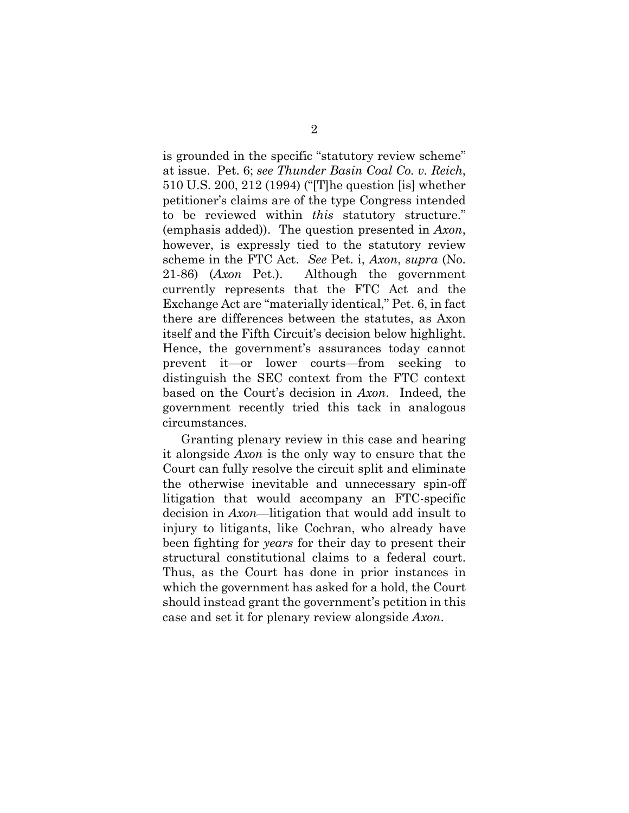is grounded in the specific "statutory review scheme" at issue. Pet. 6; *see Thunder Basin Coal Co. v. Reich*, 510 U.S. 200, 212 (1994) ("[T]he question [is] whether petitioner's claims are of the type Congress intended to be reviewed within *this* statutory structure." (emphasis added)). The question presented in *Axon*, however, is expressly tied to the statutory review scheme in the FTC Act. *See* Pet. i, *Axon*, *supra* (No. 21-86) (*Axon* Pet.). Although the government currently represents that the FTC Act and the Exchange Act are "materially identical," Pet. 6, in fact there are differences between the statutes, as Axon itself and the Fifth Circuit's decision below highlight. Hence, the government's assurances today cannot prevent it—or lower courts—from seeking to distinguish the SEC context from the FTC context based on the Court's decision in *Axon*. Indeed, the government recently tried this tack in analogous circumstances.

Granting plenary review in this case and hearing it alongside *Axon* is the only way to ensure that the Court can fully resolve the circuit split and eliminate the otherwise inevitable and unnecessary spin-off litigation that would accompany an FTC-specific decision in *Axon*—litigation that would add insult to injury to litigants, like Cochran, who already have been fighting for *years* for their day to present their structural constitutional claims to a federal court. Thus, as the Court has done in prior instances in which the government has asked for a hold, the Court should instead grant the government's petition in this case and set it for plenary review alongside *Axon*.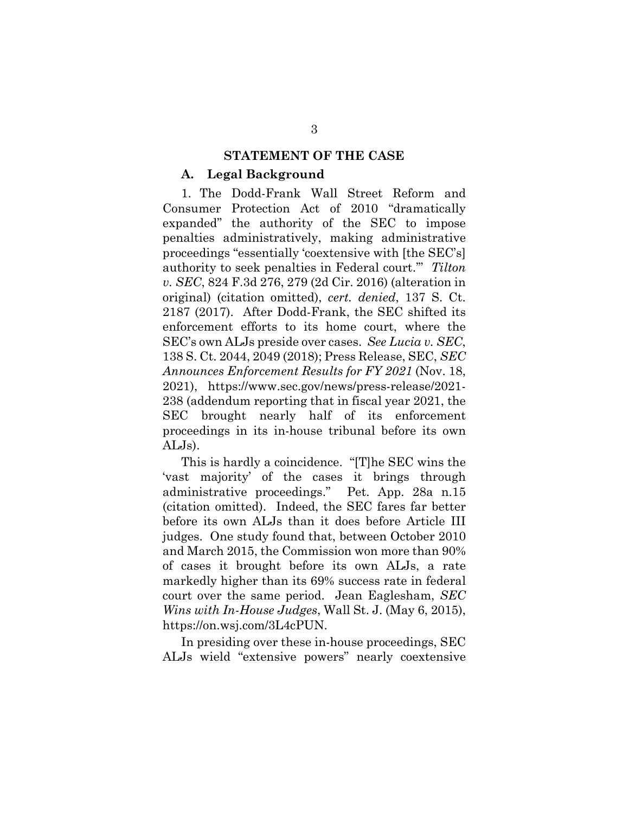#### **STATEMENT OF THE CASE**

#### **A. Legal Background**

1. The Dodd-Frank Wall Street Reform and Consumer Protection Act of 2010 "dramatically expanded" the authority of the SEC to impose penalties administratively, making administrative proceedings "essentially 'coextensive with [the SEC's] authority to seek penalties in Federal court.'" *Tilton v. SEC*, 824 F.3d 276, 279 (2d Cir. 2016) (alteration in original) (citation omitted), *cert. denied*, 137 S. Ct. 2187 (2017). After Dodd-Frank, the SEC shifted its enforcement efforts to its home court, where the SEC's own ALJs preside over cases. *See Lucia v. SEC*, 138 S. Ct. 2044, 2049 (2018); Press Release, SEC, *SEC Announces Enforcement Results for FY 2021* (Nov. 18, 2021), https://www.sec.gov/news/press-release/2021- 238 (addendum reporting that in fiscal year 2021, the SEC brought nearly half of its enforcement proceedings in its in-house tribunal before its own ALJs).

This is hardly a coincidence. "[T]he SEC wins the 'vast majority' of the cases it brings through administrative proceedings." Pet. App. 28a n.15 (citation omitted). Indeed, the SEC fares far better before its own ALJs than it does before Article III judges. One study found that, between October 2010 and March 2015, the Commission won more than 90% of cases it brought before its own ALJs, a rate markedly higher than its 69% success rate in federal court over the same period. Jean Eaglesham, *SEC Wins with In-House Judges*, Wall St. J. (May 6, 2015), https://on.wsj.com/3L4cPUN.

In presiding over these in-house proceedings, SEC ALJs wield "extensive powers" nearly coextensive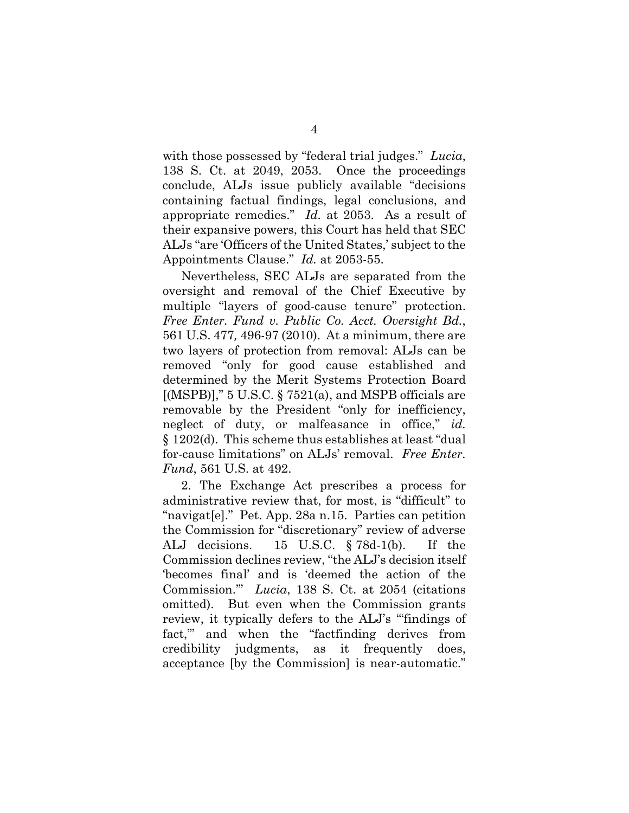with those possessed by "federal trial judges." *Lucia*, 138 S. Ct. at 2049, 2053. Once the proceedings conclude, ALJs issue publicly available "decisions containing factual findings, legal conclusions, and appropriate remedies." *Id.* at 2053. As a result of their expansive powers, this Court has held that SEC ALJs "are 'Officers of the United States,' subject to the Appointments Clause." *Id.* at 2053-55.

Nevertheless, SEC ALJs are separated from the oversight and removal of the Chief Executive by multiple "layers of good-cause tenure" protection. *Free Enter. Fund v. Public Co. Acct. Oversight Bd.*, 561 U.S. 477*,* 496-97 (2010). At a minimum, there are two layers of protection from removal: ALJs can be removed "only for good cause established and determined by the Merit Systems Protection Board  $[(MSPB)],$ " 5 U.S.C. § 7521(a), and MSPB officials are removable by the President "only for inefficiency, neglect of duty, or malfeasance in office," *id.* § 1202(d). This scheme thus establishes at least "dual for-cause limitations" on ALJs' removal. *Free Enter. Fund*, 561 U.S. at 492.

2. The Exchange Act prescribes a process for administrative review that, for most, is "difficult" to "navigat[e]." Pet. App. 28a n.15. Parties can petition the Commission for "discretionary" review of adverse ALJ decisions. 15 U.S.C. § 78d-1(b). If the Commission declines review, "the ALJ's decision itself 'becomes final' and is 'deemed the action of the Commission.'" *Lucia*, 138 S. Ct. at 2054 (citations omitted). But even when the Commission grants review, it typically defers to the ALJ's "'findings of fact,'" and when the "factfinding derives from credibility judgments, as it frequently does, acceptance [by the Commission] is near-automatic."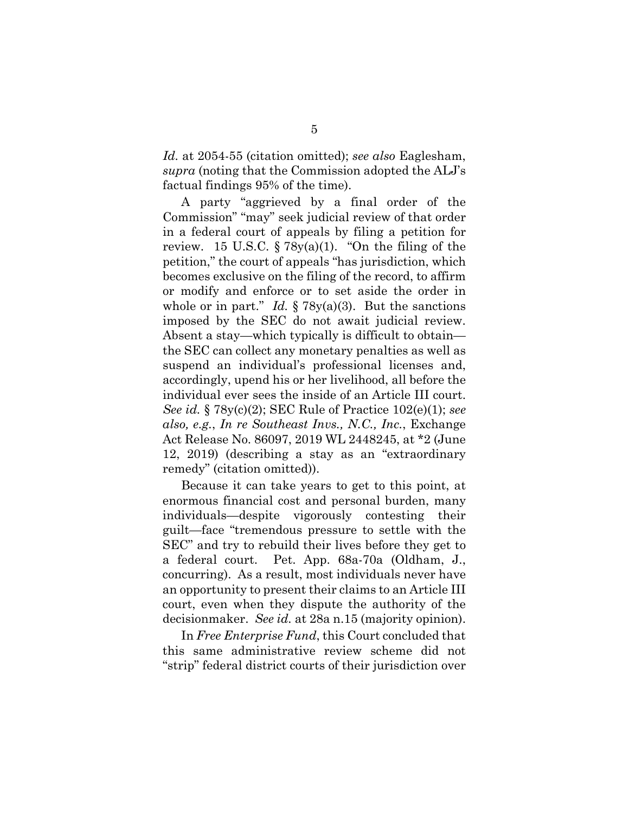*Id.* at 2054-55 (citation omitted); *see also* Eaglesham, *supra* (noting that the Commission adopted the ALJ's factual findings 95% of the time).

A party "aggrieved by a final order of the Commission" "may" seek judicial review of that order in a federal court of appeals by filing a petition for review. 15 U.S.C.  $\S 78y(a)(1)$ . "On the filing of the petition," the court of appeals "has jurisdiction, which becomes exclusive on the filing of the record, to affirm or modify and enforce or to set aside the order in whole or in part." *Id.* § 78y(a)(3). But the sanctions imposed by the SEC do not await judicial review. Absent a stay—which typically is difficult to obtain the SEC can collect any monetary penalties as well as suspend an individual's professional licenses and, accordingly, upend his or her livelihood, all before the individual ever sees the inside of an Article III court. *See id.* § 78y(c)(2); SEC Rule of Practice 102(e)(1); *see also, e.g.*, *In re Southeast Invs., N.C., Inc.*, Exchange Act Release No. 86097, 2019 WL 2448245, at \*2 (June 12, 2019) (describing a stay as an "extraordinary remedy" (citation omitted)).

Because it can take years to get to this point, at enormous financial cost and personal burden, many individuals—despite vigorously contesting their guilt—face "tremendous pressure to settle with the SEC" and try to rebuild their lives before they get to a federal court. Pet. App. 68a-70a (Oldham, J., concurring). As a result, most individuals never have an opportunity to present their claims to an Article III court, even when they dispute the authority of the decisionmaker. *See id.* at 28a n.15 (majority opinion).

In *Free Enterprise Fund*, this Court concluded that this same administrative review scheme did not "strip" federal district courts of their jurisdiction over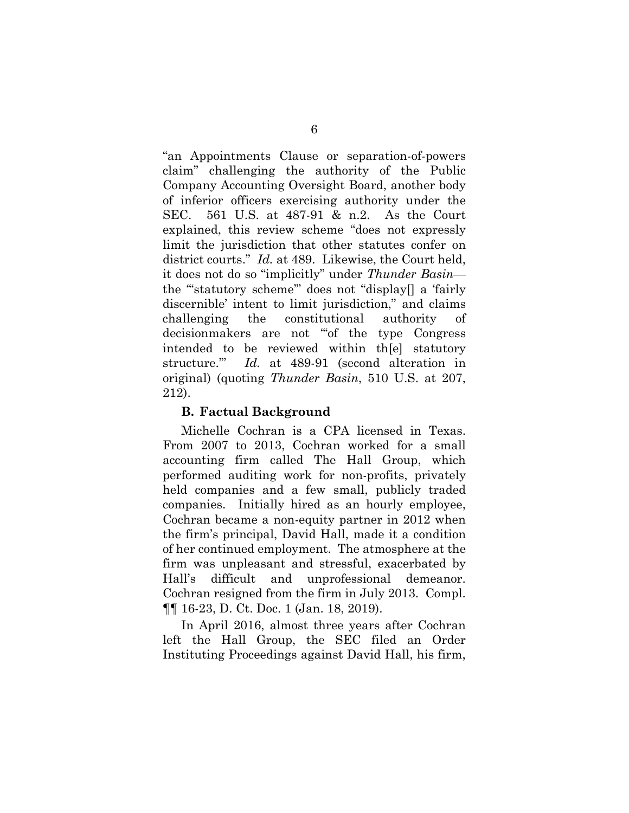"an Appointments Clause or separation-of-powers claim" challenging the authority of the Public Company Accounting Oversight Board, another body of inferior officers exercising authority under the SEC. 561 U.S. at 487-91 & n.2. As the Court explained, this review scheme "does not expressly limit the jurisdiction that other statutes confer on district courts." *Id.* at 489. Likewise, the Court held, it does not do so "implicitly" under *Thunder Basin* the "'statutory scheme'" does not "display[] a 'fairly discernible' intent to limit jurisdiction," and claims challenging the constitutional authority of decisionmakers are not "'of the type Congress intended to be reviewed within th[e] statutory structure.'" *Id.* at 489-91 (second alteration in original) (quoting *Thunder Basin*, 510 U.S. at 207, 212).

#### **B. Factual Background**

Michelle Cochran is a CPA licensed in Texas. From 2007 to 2013, Cochran worked for a small accounting firm called The Hall Group, which performed auditing work for non-profits, privately held companies and a few small, publicly traded companies. Initially hired as an hourly employee, Cochran became a non-equity partner in 2012 when the firm's principal, David Hall, made it a condition of her continued employment. The atmosphere at the firm was unpleasant and stressful, exacerbated by Hall's difficult and unprofessional demeanor. Cochran resigned from the firm in July 2013. Compl. ¶¶ 16-23, D. Ct. Doc. 1 (Jan. 18, 2019).

In April 2016, almost three years after Cochran left the Hall Group, the SEC filed an Order Instituting Proceedings against David Hall, his firm,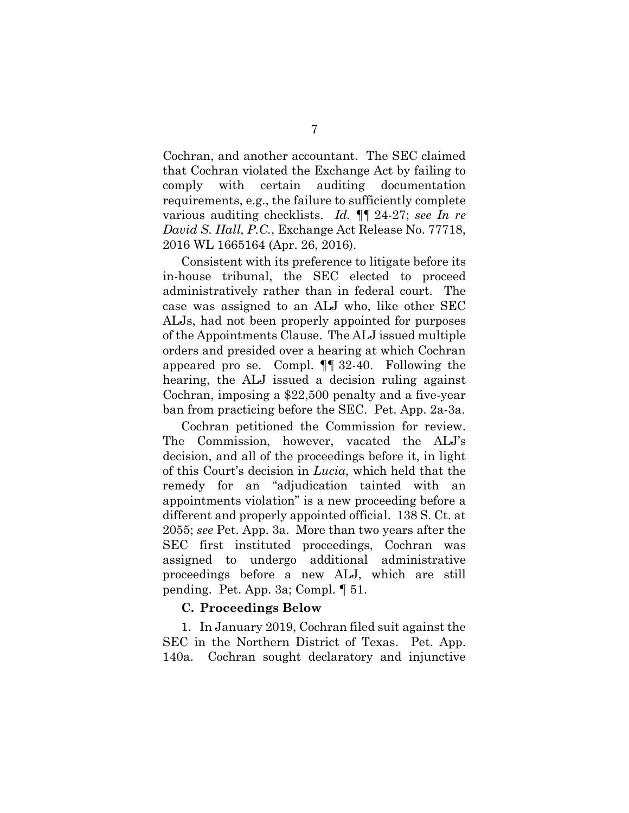Cochran, and another accountant. The SEC claimed that Cochran violated the Exchange Act by failing to comply with certain auditing documentation requirements, e.g., the failure to sufficiently complete various auditing checklists. *Id.* ¶¶ 24-27; *see In re David S. Hall, P.C.*, Exchange Act Release No. 77718, 2016 WL 1665164 (Apr. 26, 2016).

Consistent with its preference to litigate before its in-house tribunal, the SEC elected to proceed administratively rather than in federal court. The case was assigned to an ALJ who, like other SEC ALJs, had not been properly appointed for purposes of the Appointments Clause. The ALJ issued multiple orders and presided over a hearing at which Cochran appeared pro se. Compl. ¶¶ 32-40. Following the hearing, the ALJ issued a decision ruling against Cochran, imposing a \$22,500 penalty and a five-year ban from practicing before the SEC. Pet. App. 2a-3a.

Cochran petitioned the Commission for review. The Commission, however, vacated the ALJ's decision, and all of the proceedings before it, in light of this Court's decision in *Lucia*, which held that the remedy for an "adjudication tainted with an appointments violation" is a new proceeding before a different and properly appointed official. 138 S. Ct. at 2055; *see* Pet. App. 3a. More than two years after the SEC first instituted proceedings, Cochran was assigned to undergo additional administrative proceedings before a new ALJ, which are still pending. Pet. App. 3a; Compl. ¶ 51.

### **C. Proceedings Below**

1. In January 2019, Cochran filed suit against the SEC in the Northern District of Texas. Pet. App. 140a. Cochran sought declaratory and injunctive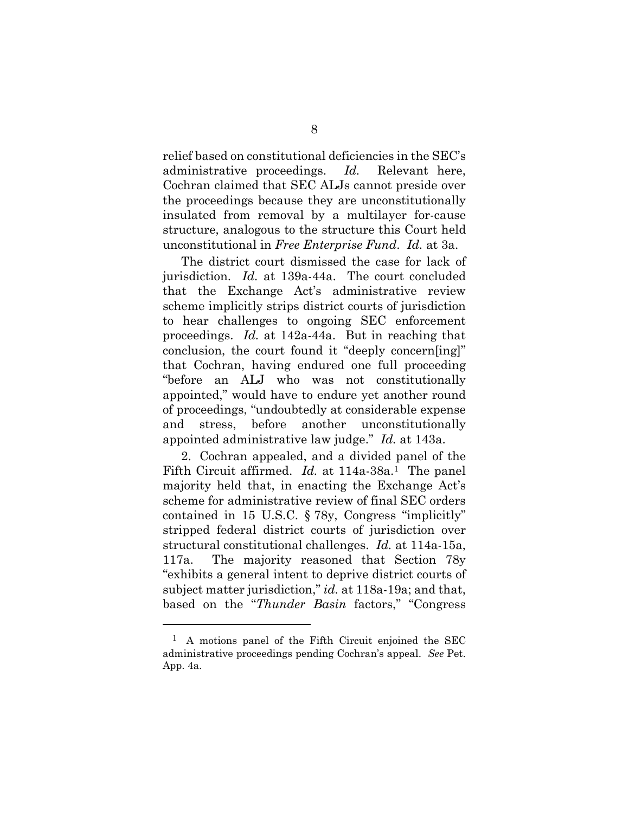relief based on constitutional deficiencies in the SEC's administrative proceedings. *Id.* Relevant here, Cochran claimed that SEC ALJs cannot preside over the proceedings because they are unconstitutionally insulated from removal by a multilayer for-cause structure, analogous to the structure this Court held unconstitutional in *Free Enterprise Fund*. *Id.* at 3a.

The district court dismissed the case for lack of jurisdiction. *Id.* at 139a-44a. The court concluded that the Exchange Act's administrative review scheme implicitly strips district courts of jurisdiction to hear challenges to ongoing SEC enforcement proceedings. *Id.* at 142a-44a. But in reaching that conclusion, the court found it "deeply concern[ing]" that Cochran, having endured one full proceeding "before an ALJ who was not constitutionally appointed," would have to endure yet another round of proceedings, "undoubtedly at considerable expense and stress, before another unconstitutionally appointed administrative law judge." *Id.* at 143a.

2. Cochran appealed, and a divided panel of the Fifth Circuit affirmed. *Id.* at 114a-38a.<sup>1</sup> The panel majority held that, in enacting the Exchange Act's scheme for administrative review of final SEC orders contained in 15 U.S.C. § 78y, Congress "implicitly" stripped federal district courts of jurisdiction over structural constitutional challenges. *Id.* at 114a-15a, 117a. The majority reasoned that Section 78y "exhibits a general intent to deprive district courts of subject matter jurisdiction," *id.* at 118a-19a; and that, based on the "*Thunder Basin* factors," "Congress

 $\overline{a}$ 

<sup>1</sup> A motions panel of the Fifth Circuit enjoined the SEC administrative proceedings pending Cochran's appeal. *See* Pet. App. 4a.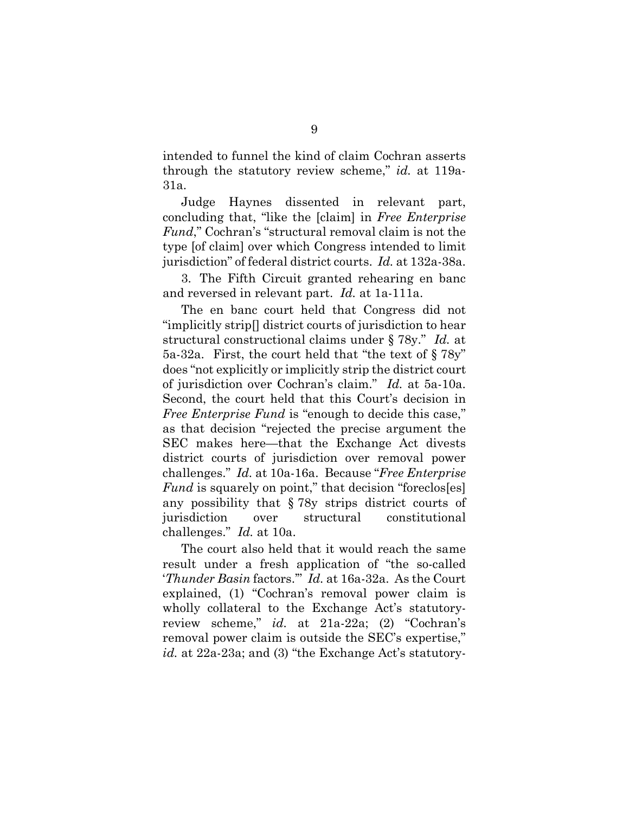intended to funnel the kind of claim Cochran asserts through the statutory review scheme," *id.* at 119a-31a.

Judge Haynes dissented in relevant part, concluding that, "like the [claim] in *Free Enterprise Fund*," Cochran's "structural removal claim is not the type [of claim] over which Congress intended to limit jurisdiction" of federal district courts. *Id.* at 132a-38a.

3. The Fifth Circuit granted rehearing en banc and reversed in relevant part. *Id.* at 1a-111a.

The en banc court held that Congress did not "implicitly strip[] district courts of jurisdiction to hear structural constructional claims under § 78y." *Id.* at 5a-32a. First, the court held that "the text of § 78y" does "not explicitly or implicitly strip the district court of jurisdiction over Cochran's claim." *Id.* at 5a-10a. Second, the court held that this Court's decision in *Free Enterprise Fund* is "enough to decide this case," as that decision "rejected the precise argument the SEC makes here—that the Exchange Act divests district courts of jurisdiction over removal power challenges." *Id.* at 10a-16a. Because "*Free Enterprise Fund* is squarely on point," that decision "foreclos[es] any possibility that § 78y strips district courts of jurisdiction over structural constitutional challenges." *Id.* at 10a.

The court also held that it would reach the same result under a fresh application of "the so-called '*Thunder Basin* factors.'" *Id.* at 16a-32a. As the Court explained, (1) "Cochran's removal power claim is wholly collateral to the Exchange Act's statutoryreview scheme," *id.* at 21a-22a; (2) "Cochran's removal power claim is outside the SEC's expertise," id. at 22a-23a; and (3) "the Exchange Act's statutory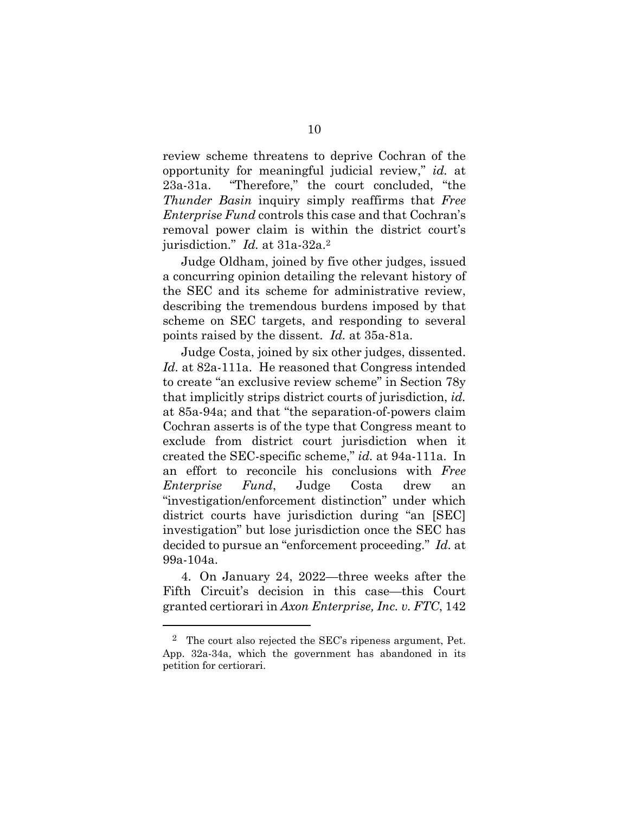review scheme threatens to deprive Cochran of the opportunity for meaningful judicial review," *id.* at 23a-31a. "Therefore," the court concluded, "the *Thunder Basin* inquiry simply reaffirms that *Free Enterprise Fund* controls this case and that Cochran's removal power claim is within the district court's jurisdiction." *Id.* at 31a-32a.<sup>2</sup>

Judge Oldham, joined by five other judges, issued a concurring opinion detailing the relevant history of the SEC and its scheme for administrative review, describing the tremendous burdens imposed by that scheme on SEC targets, and responding to several points raised by the dissent. *Id.* at 35a-81a.

Judge Costa, joined by six other judges, dissented. *Id.* at 82a-111a. He reasoned that Congress intended to create "an exclusive review scheme" in Section 78y that implicitly strips district courts of jurisdiction, *id.* at 85a-94a; and that "the separation-of-powers claim Cochran asserts is of the type that Congress meant to exclude from district court jurisdiction when it created the SEC-specific scheme," *id.* at 94a-111a. In an effort to reconcile his conclusions with *Free Enterprise Fund*, Judge Costa drew an "investigation/enforcement distinction" under which district courts have jurisdiction during "an [SEC] investigation" but lose jurisdiction once the SEC has decided to pursue an "enforcement proceeding." *Id.* at 99a-104a.

4. On January 24, 2022—three weeks after the Fifth Circuit's decision in this case—this Court granted certiorari in *Axon Enterprise, Inc. v. FTC*, 142

l

<sup>2</sup> The court also rejected the SEC's ripeness argument, Pet. App. 32a-34a, which the government has abandoned in its petition for certiorari.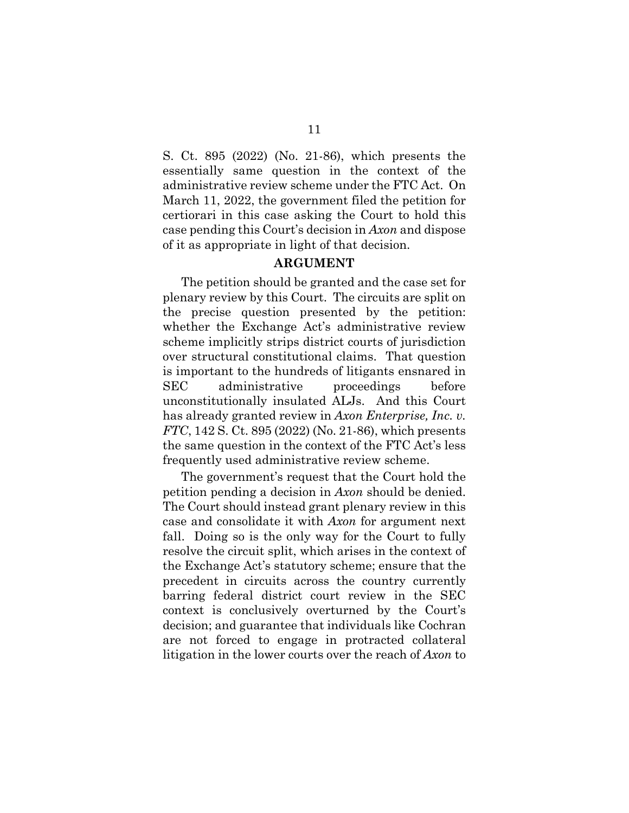S. Ct. 895 (2022) (No. 21-86), which presents the essentially same question in the context of the administrative review scheme under the FTC Act. On March 11, 2022, the government filed the petition for certiorari in this case asking the Court to hold this case pending this Court's decision in *Axon* and dispose of it as appropriate in light of that decision.

#### **ARGUMENT**

The petition should be granted and the case set for plenary review by this Court. The circuits are split on the precise question presented by the petition: whether the Exchange Act's administrative review scheme implicitly strips district courts of jurisdiction over structural constitutional claims. That question is important to the hundreds of litigants ensnared in SEC administrative proceedings before unconstitutionally insulated ALJs. And this Court has already granted review in *Axon Enterprise, Inc. v. FTC*, 142 S. Ct. 895 (2022) (No. 21-86), which presents the same question in the context of the FTC Act's less frequently used administrative review scheme.

The government's request that the Court hold the petition pending a decision in *Axon* should be denied. The Court should instead grant plenary review in this case and consolidate it with *Axon* for argument next fall. Doing so is the only way for the Court to fully resolve the circuit split, which arises in the context of the Exchange Act's statutory scheme; ensure that the precedent in circuits across the country currently barring federal district court review in the SEC context is conclusively overturned by the Court's decision; and guarantee that individuals like Cochran are not forced to engage in protracted collateral litigation in the lower courts over the reach of *Axon* to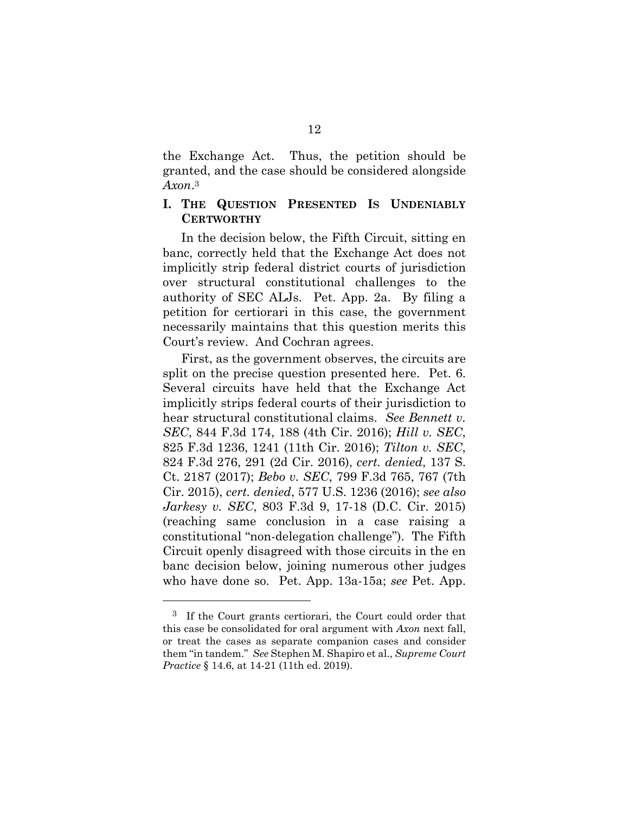the Exchange Act. Thus, the petition should be granted, and the case should be considered alongside *Axon*. 3

### **I. THE QUESTION PRESENTED IS UNDENIABLY CERTWORTHY**

In the decision below, the Fifth Circuit, sitting en banc, correctly held that the Exchange Act does not implicitly strip federal district courts of jurisdiction over structural constitutional challenges to the authority of SEC ALJs. Pet. App. 2a. By filing a petition for certiorari in this case, the government necessarily maintains that this question merits this Court's review. And Cochran agrees.

First, as the government observes, the circuits are split on the precise question presented here. Pet. 6. Several circuits have held that the Exchange Act implicitly strips federal courts of their jurisdiction to hear structural constitutional claims. *See Bennett v. SEC*, 844 F.3d 174, 188 (4th Cir. 2016); *Hill v. SEC*, 825 F.3d 1236, 1241 (11th Cir. 2016); *Tilton v. SEC*, 824 F.3d 276, 291 (2d Cir. 2016), *cert. denied*, 137 S. Ct. 2187 (2017); *Bebo v. SEC*, 799 F.3d 765, 767 (7th Cir. 2015), *cert. denied*, 577 U.S. 1236 (2016); *see also Jarkesy v. SEC*, 803 F.3d 9, 17-18 (D.C. Cir. 2015) (reaching same conclusion in a case raising a constitutional "non-delegation challenge"). The Fifth Circuit openly disagreed with those circuits in the en banc decision below, joining numerous other judges who have done so. Pet. App. 13a-15a; *see* Pet. App.

l

<sup>3</sup> If the Court grants certiorari, the Court could order that this case be consolidated for oral argument with *Axon* next fall, or treat the cases as separate companion cases and consider them "in tandem." *See* Stephen M. Shapiro et al., *Supreme Court Practice* § 14.6, at 14-21 (11th ed. 2019).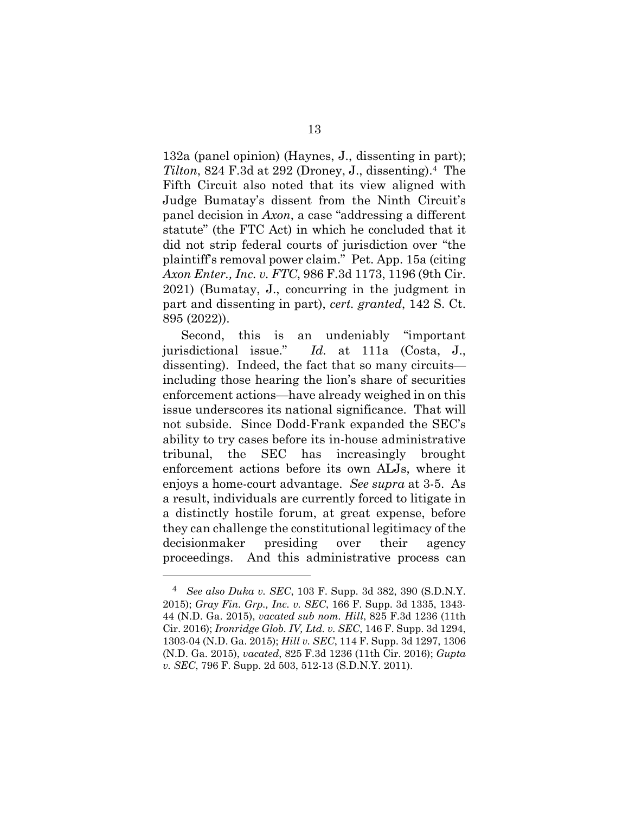132a (panel opinion) (Haynes, J., dissenting in part); *Tilton*, 824 F.3d at 292 (Droney, J., dissenting).4 The Fifth Circuit also noted that its view aligned with Judge Bumatay's dissent from the Ninth Circuit's panel decision in *Axon*, a case "addressing a different statute" (the FTC Act) in which he concluded that it did not strip federal courts of jurisdiction over "the plaintiff's removal power claim." Pet. App. 15a (citing *Axon Enter., Inc. v. FTC*, 986 F.3d 1173, 1196 (9th Cir. 2021) (Bumatay, J., concurring in the judgment in part and dissenting in part), *cert. granted*, 142 S. Ct. 895 (2022)).

Second, this is an undeniably "important jurisdictional issue." *Id.* at 111a (Costa, J., dissenting). Indeed, the fact that so many circuits including those hearing the lion's share of securities enforcement actions—have already weighed in on this issue underscores its national significance. That will not subside. Since Dodd-Frank expanded the SEC's ability to try cases before its in-house administrative tribunal, the SEC has increasingly brought enforcement actions before its own ALJs, where it enjoys a home-court advantage. *See supra* at 3-5. As a result, individuals are currently forced to litigate in a distinctly hostile forum, at great expense, before they can challenge the constitutional legitimacy of the decisionmaker presiding over their agency proceedings. And this administrative process can

 $\overline{a}$ 

<sup>4</sup> *See also Duka v. SEC*, 103 F. Supp. 3d 382, 390 (S.D.N.Y. 2015); *Gray Fin. Grp., Inc. v. SEC*, 166 F. Supp. 3d 1335, 1343- 44 (N.D. Ga. 2015), *vacated sub nom. Hill*, 825 F.3d 1236 (11th Cir. 2016); *Ironridge Glob. IV, Ltd. v. SEC*, 146 F. Supp. 3d 1294, 1303-04 (N.D. Ga. 2015); *Hill v. SEC*, 114 F. Supp. 3d 1297, 1306 (N.D. Ga. 2015), *vacated*, 825 F.3d 1236 (11th Cir. 2016); *Gupta v. SEC*, 796 F. Supp. 2d 503, 512-13 (S.D.N.Y. 2011).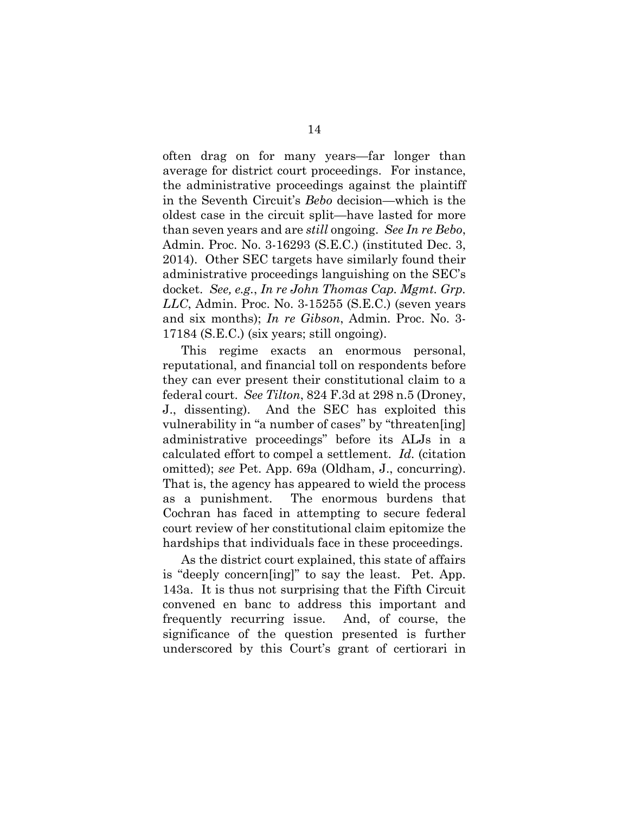often drag on for many years—far longer than average for district court proceedings. For instance, the administrative proceedings against the plaintiff in the Seventh Circuit's *Bebo* decision—which is the oldest case in the circuit split—have lasted for more than seven years and are *still* ongoing. *See In re Bebo*, Admin. Proc. No. 3-16293 (S.E.C.) (instituted Dec. 3, 2014). Other SEC targets have similarly found their administrative proceedings languishing on the SEC's docket. *See, e.g.*, *In re John Thomas Cap. Mgmt. Grp. LLC*, Admin. Proc. No. 3-15255 (S.E.C.) (seven years and six months); *In re Gibson*, Admin. Proc. No. 3- 17184 (S.E.C.) (six years; still ongoing).

This regime exacts an enormous personal, reputational, and financial toll on respondents before they can ever present their constitutional claim to a federal court. *See Tilton*, 824 F.3d at 298 n.5 (Droney, J., dissenting). And the SEC has exploited this vulnerability in "a number of cases" by "threaten[ing] administrative proceedings" before its ALJs in a calculated effort to compel a settlement. *Id.* (citation omitted); *see* Pet. App. 69a (Oldham, J., concurring). That is, the agency has appeared to wield the process as a punishment. The enormous burdens that Cochran has faced in attempting to secure federal court review of her constitutional claim epitomize the hardships that individuals face in these proceedings.

As the district court explained, this state of affairs is "deeply concern[ing]" to say the least. Pet. App. 143a. It is thus not surprising that the Fifth Circuit convened en banc to address this important and frequently recurring issue. And, of course, the significance of the question presented is further underscored by this Court's grant of certiorari in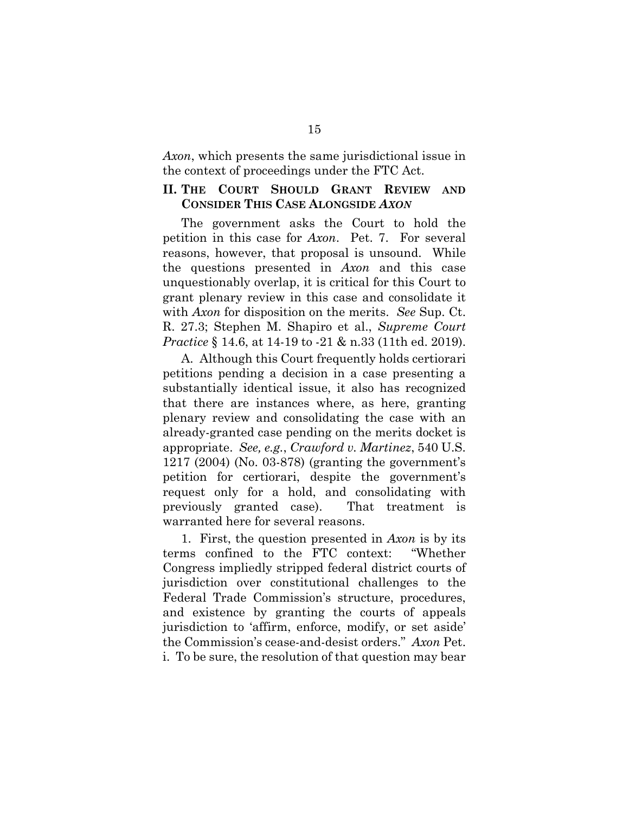*Axon*, which presents the same jurisdictional issue in the context of proceedings under the FTC Act.

### **II. THE COURT SHOULD GRANT REVIEW AND CONSIDER THIS CASE ALONGSIDE** *AXON*

The government asks the Court to hold the petition in this case for *Axon*. Pet. 7. For several reasons, however, that proposal is unsound. While the questions presented in *Axon* and this case unquestionably overlap, it is critical for this Court to grant plenary review in this case and consolidate it with *Axon* for disposition on the merits. *See* Sup. Ct. R. 27.3; Stephen M. Shapiro et al., *Supreme Court Practice* § 14.6, at 14-19 to -21 & n.33 (11th ed. 2019).

A. Although this Court frequently holds certiorari petitions pending a decision in a case presenting a substantially identical issue, it also has recognized that there are instances where, as here, granting plenary review and consolidating the case with an already-granted case pending on the merits docket is appropriate. *See, e.g.*, *Crawford v. Martinez*, 540 U.S. 1217 (2004) (No. 03-878) (granting the government's petition for certiorari, despite the government's request only for a hold, and consolidating with previously granted case). That treatment is warranted here for several reasons.

1. First, the question presented in *Axon* is by its terms confined to the FTC context: "Whether Congress impliedly stripped federal district courts of jurisdiction over constitutional challenges to the Federal Trade Commission's structure, procedures, and existence by granting the courts of appeals jurisdiction to 'affirm, enforce, modify, or set aside' the Commission's cease-and-desist orders." *Axon* Pet. i. To be sure, the resolution of that question may bear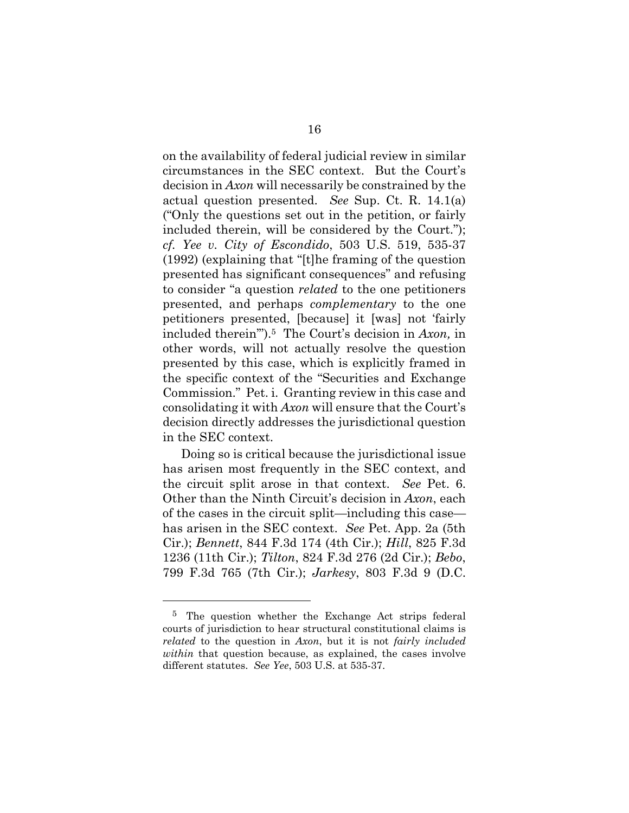on the availability of federal judicial review in similar circumstances in the SEC context. But the Court's decision in *Axon* will necessarily be constrained by the actual question presented. *See* Sup. Ct. R. 14.1(a) ("Only the questions set out in the petition, or fairly included therein, will be considered by the Court."); *cf. Yee v. City of Escondido*, 503 U.S. 519, 535-37 (1992) (explaining that "[t]he framing of the question presented has significant consequences" and refusing to consider "a question *related* to the one petitioners presented, and perhaps *complementary* to the one petitioners presented, [because] it [was] not 'fairly included therein'").5 The Court's decision in *Axon,* in other words, will not actually resolve the question presented by this case, which is explicitly framed in the specific context of the "Securities and Exchange Commission." Pet. i. Granting review in this case and consolidating it with *Axon* will ensure that the Court's decision directly addresses the jurisdictional question in the SEC context.

Doing so is critical because the jurisdictional issue has arisen most frequently in the SEC context, and the circuit split arose in that context. *See* Pet. 6. Other than the Ninth Circuit's decision in *Axon*, each of the cases in the circuit split—including this case has arisen in the SEC context. *See* Pet. App. 2a (5th Cir.); *Bennett*, 844 F.3d 174 (4th Cir.); *Hill*, 825 F.3d 1236 (11th Cir.); *Tilton*, 824 F.3d 276 (2d Cir.); *Bebo*, 799 F.3d 765 (7th Cir.); *Jarkesy*, 803 F.3d 9 (D.C.

l

<sup>5</sup> The question whether the Exchange Act strips federal courts of jurisdiction to hear structural constitutional claims is *related* to the question in *Axon*, but it is not *fairly included within* that question because, as explained, the cases involve different statutes. *See Yee*, 503 U.S. at 535-37.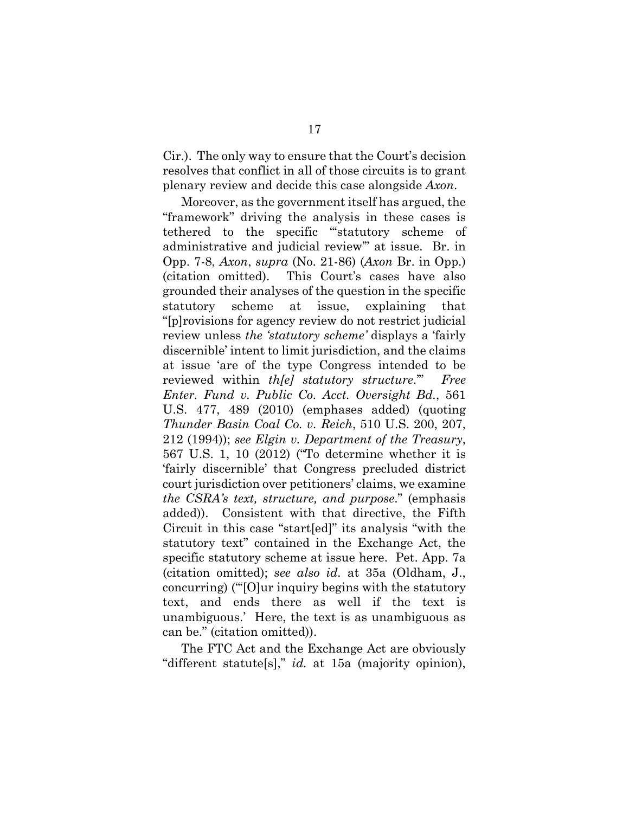Cir.). The only way to ensure that the Court's decision resolves that conflict in all of those circuits is to grant plenary review and decide this case alongside *Axon*.

Moreover, as the government itself has argued, the "framework" driving the analysis in these cases is tethered to the specific "'statutory scheme of administrative and judicial review'" at issue. Br. in Opp. 7-8, *Axon*, *supra* (No. 21-86) (*Axon* Br. in Opp.) (citation omitted). This Court's cases have also grounded their analyses of the question in the specific statutory scheme at issue, explaining that "[p]rovisions for agency review do not restrict judicial review unless *the 'statutory scheme'* displays a 'fairly discernible' intent to limit jurisdiction, and the claims at issue 'are of the type Congress intended to be reviewed within *th[e] statutory structure*.'" *Free Enter. Fund v. Public Co. Acct. Oversight Bd.*, 561 U.S. 477, 489 (2010) (emphases added) (quoting *Thunder Basin Coal Co. v. Reich*, 510 U.S. 200, 207, 212 (1994)); *see Elgin v. Department of the Treasury*, 567 U.S. 1, 10 (2012) ("To determine whether it is 'fairly discernible' that Congress precluded district court jurisdiction over petitioners' claims, we examine *the CSRA's text, structure, and purpose*." (emphasis added)). Consistent with that directive, the Fifth Circuit in this case "start[ed]" its analysis "with the statutory text" contained in the Exchange Act, the specific statutory scheme at issue here. Pet. App. 7a (citation omitted); *see also id.* at 35a (Oldham, J., concurring) ("'[O]ur inquiry begins with the statutory text, and ends there as well if the text is unambiguous.' Here, the text is as unambiguous as can be." (citation omitted)).

The FTC Act and the Exchange Act are obviously "different statute[s]," *id.* at 15a (majority opinion),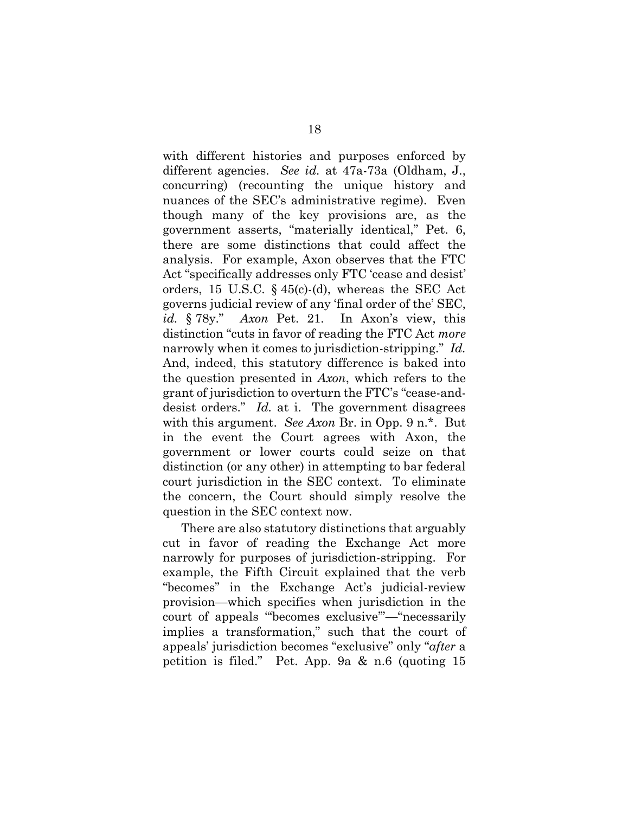with different histories and purposes enforced by different agencies. *See id.* at 47a-73a (Oldham, J., concurring) (recounting the unique history and nuances of the SEC's administrative regime). Even though many of the key provisions are, as the government asserts, "materially identical," Pet. 6, there are some distinctions that could affect the analysis. For example, Axon observes that the FTC Act "specifically addresses only FTC 'cease and desist' orders, 15 U.S.C. § 45(c)-(d), whereas the SEC Act governs judicial review of any 'final order of the' SEC, *id.* § 78y." *Axon* Pet. 21. In Axon's view, this distinction "cuts in favor of reading the FTC Act *more* narrowly when it comes to jurisdiction-stripping." *Id.* And, indeed, this statutory difference is baked into the question presented in *Axon*, which refers to the grant of jurisdiction to overturn the FTC's "cease-anddesist orders." *Id.* at i. The government disagrees with this argument. *See Axon* Br. in Opp. 9 n.\*. But in the event the Court agrees with Axon, the government or lower courts could seize on that distinction (or any other) in attempting to bar federal court jurisdiction in the SEC context. To eliminate the concern, the Court should simply resolve the question in the SEC context now.

There are also statutory distinctions that arguably cut in favor of reading the Exchange Act more narrowly for purposes of jurisdiction-stripping. For example, the Fifth Circuit explained that the verb "becomes" in the Exchange Act's judicial-review provision—which specifies when jurisdiction in the court of appeals "'becomes exclusive'"—"necessarily implies a transformation," such that the court of appeals' jurisdiction becomes "exclusive" only "*after* a petition is filed." Pet. App. 9a & n.6 (quoting 15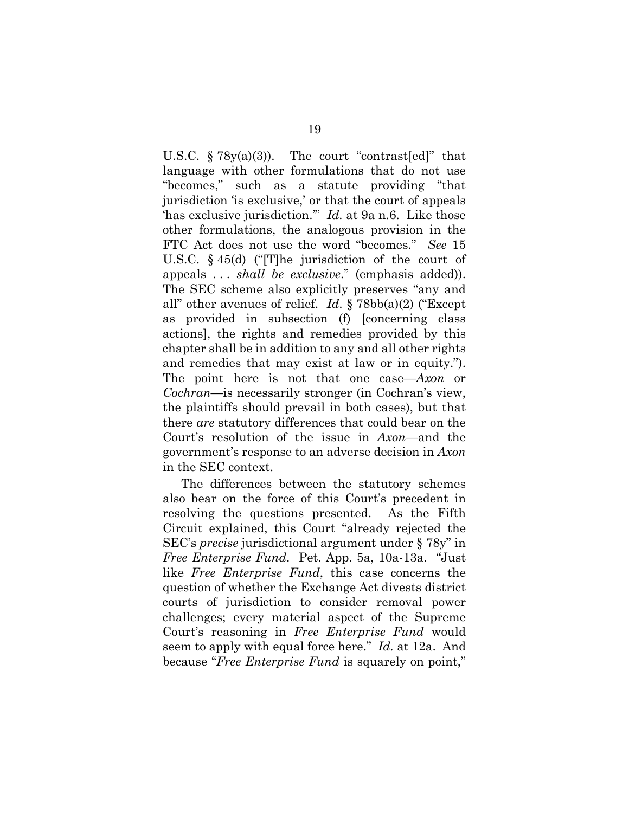U.S.C.  $\S 78y(a)(3)$ . The court "contrast[ed]" that language with other formulations that do not use "becomes," such as a statute providing "that jurisdiction 'is exclusive,' or that the court of appeals 'has exclusive jurisdiction.'" *Id.* at 9a n.6. Like those other formulations, the analogous provision in the FTC Act does not use the word "becomes." *See* 15 U.S.C. § 45(d) ("[T]he jurisdiction of the court of appeals . . . *shall be exclusive*." (emphasis added)). The SEC scheme also explicitly preserves "any and all" other avenues of relief. *Id*. § 78bb(a)(2) ("Except as provided in subsection (f) [concerning class actions], the rights and remedies provided by this chapter shall be in addition to any and all other rights and remedies that may exist at law or in equity."). The point here is not that one case—*Axon* or *Cochran—*is necessarily stronger (in Cochran's view, the plaintiffs should prevail in both cases), but that there *are* statutory differences that could bear on the Court's resolution of the issue in *Axon—*and the government's response to an adverse decision in *Axon* in the SEC context.

The differences between the statutory schemes also bear on the force of this Court's precedent in resolving the questions presented. As the Fifth Circuit explained, this Court "already rejected the SEC's *precise* jurisdictional argument under § 78y" in *Free Enterprise Fund*. Pet. App. 5a, 10a-13a. "Just like *Free Enterprise Fund*, this case concerns the question of whether the Exchange Act divests district courts of jurisdiction to consider removal power challenges; every material aspect of the Supreme Court's reasoning in *Free Enterprise Fund* would seem to apply with equal force here." *Id.* at 12a. And because "*Free Enterprise Fund* is squarely on point,"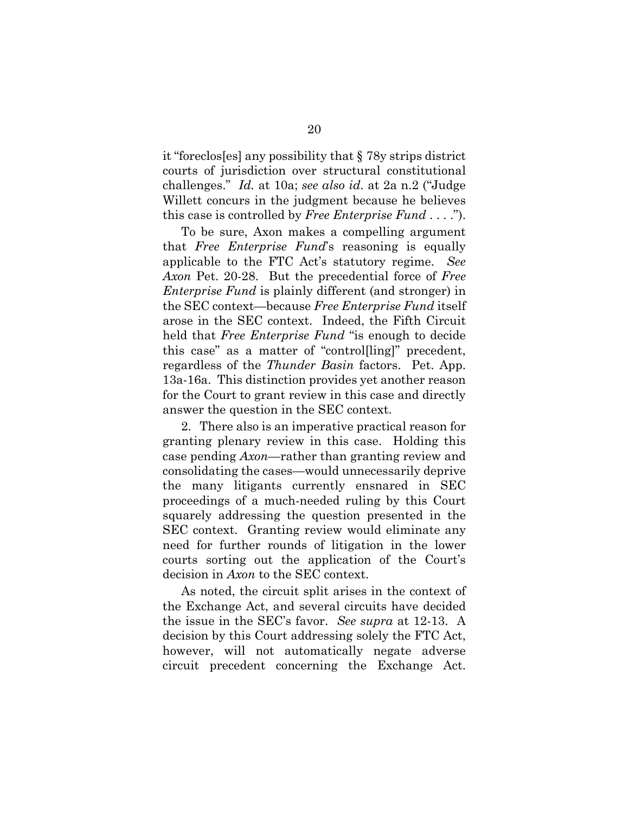it "foreclos[es] any possibility that § 78y strips district courts of jurisdiction over structural constitutional challenges." *Id.* at 10a; *see also id.* at 2a n.2 ("Judge Willett concurs in the judgment because he believes this case is controlled by *Free Enterprise Fund* . . . .").

To be sure, Axon makes a compelling argument that *Free Enterprise Fund*'s reasoning is equally applicable to the FTC Act's statutory regime. *See Axon* Pet. 20-28. But the precedential force of *Free Enterprise Fund* is plainly different (and stronger) in the SEC context—because *Free Enterprise Fund* itself arose in the SEC context. Indeed, the Fifth Circuit held that *Free Enterprise Fund* "is enough to decide this case" as a matter of "control[ling]" precedent, regardless of the *Thunder Basin* factors. Pet. App. 13a-16a. This distinction provides yet another reason for the Court to grant review in this case and directly answer the question in the SEC context.

2. There also is an imperative practical reason for granting plenary review in this case. Holding this case pending *Axon*—rather than granting review and consolidating the cases—would unnecessarily deprive the many litigants currently ensnared in SEC proceedings of a much-needed ruling by this Court squarely addressing the question presented in the SEC context. Granting review would eliminate any need for further rounds of litigation in the lower courts sorting out the application of the Court's decision in *Axon* to the SEC context.

As noted, the circuit split arises in the context of the Exchange Act, and several circuits have decided the issue in the SEC's favor. *See supra* at 12-13. A decision by this Court addressing solely the FTC Act, however, will not automatically negate adverse circuit precedent concerning the Exchange Act.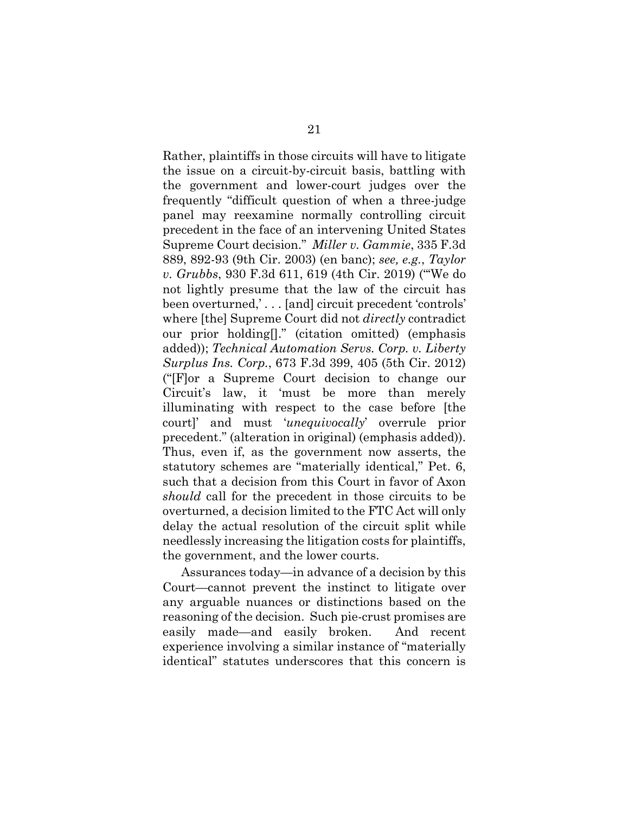Rather, plaintiffs in those circuits will have to litigate the issue on a circuit-by-circuit basis, battling with the government and lower-court judges over the frequently "difficult question of when a three-judge panel may reexamine normally controlling circuit precedent in the face of an intervening United States Supreme Court decision." *Miller v. Gammie*, 335 F.3d 889, 892-93 (9th Cir. 2003) (en banc); *see, e.g.*, *Taylor v. Grubbs*, 930 F.3d 611, 619 (4th Cir. 2019) ("'We do not lightly presume that the law of the circuit has been overturned,' . . . [and] circuit precedent 'controls' where [the] Supreme Court did not *directly* contradict our prior holding[]." (citation omitted) (emphasis added)); *Technical Automation Servs. Corp. v. Liberty Surplus Ins. Corp.*, 673 F.3d 399, 405 (5th Cir. 2012) ("[F]or a Supreme Court decision to change our Circuit's law, it 'must be more than merely illuminating with respect to the case before [the court]' and must '*unequivocally*' overrule prior precedent." (alteration in original) (emphasis added)). Thus, even if, as the government now asserts, the statutory schemes are "materially identical," Pet. 6, such that a decision from this Court in favor of Axon *should* call for the precedent in those circuits to be overturned, a decision limited to the FTC Act will only delay the actual resolution of the circuit split while needlessly increasing the litigation costs for plaintiffs, the government, and the lower courts.

Assurances today—in advance of a decision by this Court—cannot prevent the instinct to litigate over any arguable nuances or distinctions based on the reasoning of the decision. Such pie-crust promises are easily made—and easily broken. And recent experience involving a similar instance of "materially identical" statutes underscores that this concern is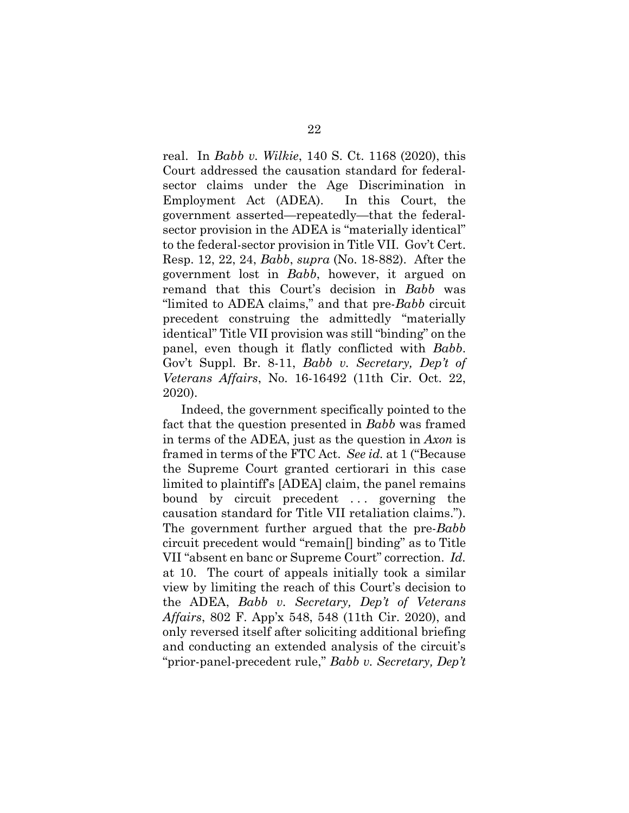real. In *Babb v. Wilkie*, 140 S. Ct. 1168 (2020), this Court addressed the causation standard for federalsector claims under the Age Discrimination in Employment Act (ADEA). In this Court, the government asserted—repeatedly—that the federalsector provision in the ADEA is "materially identical" to the federal-sector provision in Title VII. Gov't Cert. Resp. 12, 22, 24, *Babb*, *supra* (No. 18-882). After the government lost in *Babb*, however, it argued on remand that this Court's decision in *Babb* was "limited to ADEA claims," and that pre-*Babb* circuit precedent construing the admittedly "materially identical" Title VII provision was still "binding" on the panel, even though it flatly conflicted with *Babb*. Gov't Suppl. Br. 8-11, *Babb v. Secretary, Dep't of Veterans Affairs*, No. 16-16492 (11th Cir. Oct. 22, 2020).

Indeed, the government specifically pointed to the fact that the question presented in *Babb* was framed in terms of the ADEA, just as the question in *Axon* is framed in terms of the FTC Act. *See id.* at 1 ("Because the Supreme Court granted certiorari in this case limited to plaintiff's [ADEA] claim, the panel remains bound by circuit precedent ... governing the causation standard for Title VII retaliation claims."). The government further argued that the pre-*Babb* circuit precedent would "remain[] binding" as to Title VII "absent en banc or Supreme Court" correction. *Id.* at 10. The court of appeals initially took a similar view by limiting the reach of this Court's decision to the ADEA, *Babb v. Secretary, Dep't of Veterans Affairs*, 802 F. App'x 548, 548 (11th Cir. 2020), and only reversed itself after soliciting additional briefing and conducting an extended analysis of the circuit's "prior-panel-precedent rule," *Babb v. Secretary, Dep't*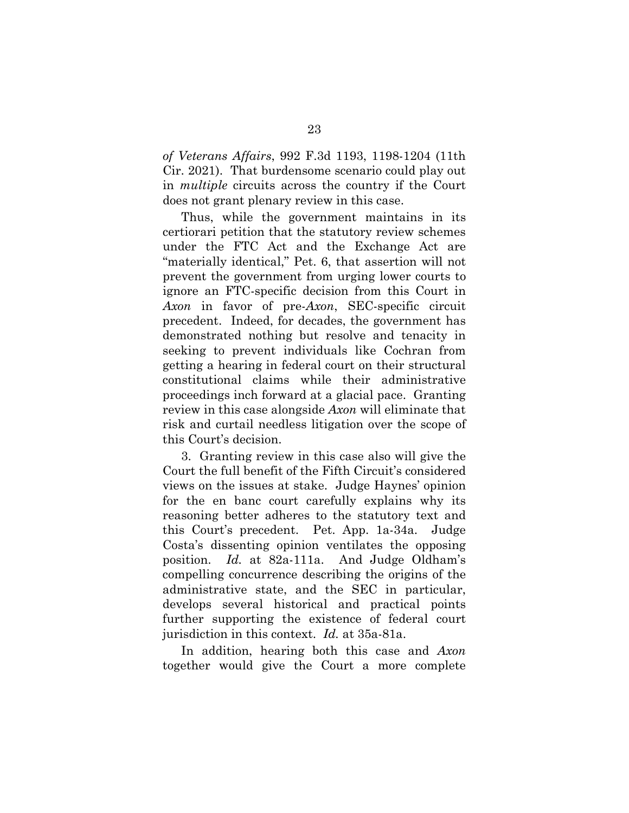*of Veterans Affairs*, 992 F.3d 1193, 1198-1204 (11th Cir. 2021). That burdensome scenario could play out in *multiple* circuits across the country if the Court does not grant plenary review in this case.

Thus, while the government maintains in its certiorari petition that the statutory review schemes under the FTC Act and the Exchange Act are "materially identical," Pet. 6, that assertion will not prevent the government from urging lower courts to ignore an FTC-specific decision from this Court in *Axon* in favor of pre-*Axon*, SEC-specific circuit precedent. Indeed, for decades, the government has demonstrated nothing but resolve and tenacity in seeking to prevent individuals like Cochran from getting a hearing in federal court on their structural constitutional claims while their administrative proceedings inch forward at a glacial pace. Granting review in this case alongside *Axon* will eliminate that risk and curtail needless litigation over the scope of this Court's decision.

3. Granting review in this case also will give the Court the full benefit of the Fifth Circuit's considered views on the issues at stake. Judge Haynes' opinion for the en banc court carefully explains why its reasoning better adheres to the statutory text and this Court's precedent. Pet. App. 1a-34a. Judge Costa's dissenting opinion ventilates the opposing position. *Id.* at 82a-111a. And Judge Oldham's compelling concurrence describing the origins of the administrative state, and the SEC in particular, develops several historical and practical points further supporting the existence of federal court jurisdiction in this context. *Id.* at 35a-81a.

In addition, hearing both this case and *Axon* together would give the Court a more complete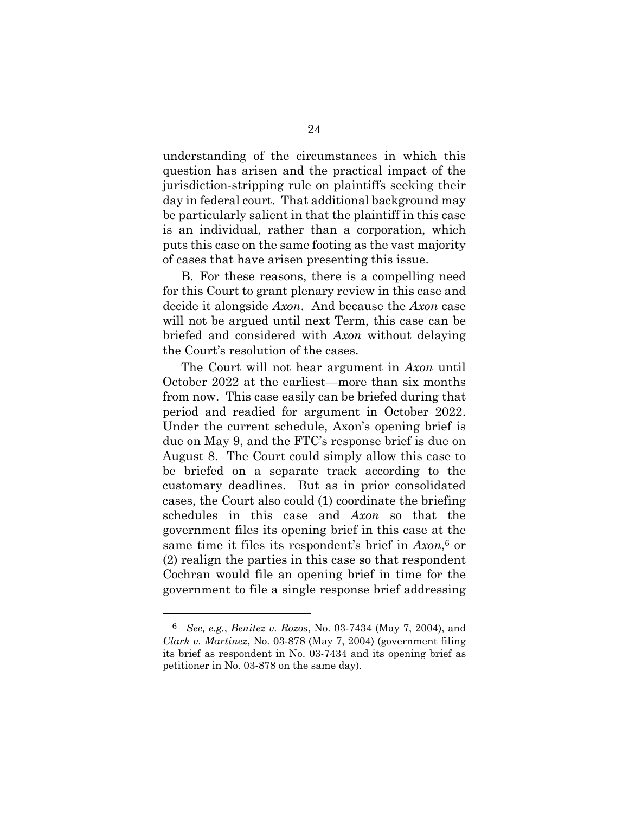understanding of the circumstances in which this question has arisen and the practical impact of the jurisdiction-stripping rule on plaintiffs seeking their day in federal court. That additional background may be particularly salient in that the plaintiff in this case is an individual, rather than a corporation, which puts this case on the same footing as the vast majority of cases that have arisen presenting this issue.

B. For these reasons, there is a compelling need for this Court to grant plenary review in this case and decide it alongside *Axon*. And because the *Axon* case will not be argued until next Term, this case can be briefed and considered with *Axon* without delaying the Court's resolution of the cases.

The Court will not hear argument in *Axon* until October 2022 at the earliest—more than six months from now. This case easily can be briefed during that period and readied for argument in October 2022. Under the current schedule, Axon's opening brief is due on May 9, and the FTC's response brief is due on August 8. The Court could simply allow this case to be briefed on a separate track according to the customary deadlines. But as in prior consolidated cases, the Court also could (1) coordinate the briefing schedules in this case and *Axon* so that the government files its opening brief in this case at the same time it files its respondent's brief in *Axon*, <sup>6</sup> or (2) realign the parties in this case so that respondent Cochran would file an opening brief in time for the government to file a single response brief addressing

l

<sup>6</sup> *See, e.g.*, *Benitez v. Rozos*, No. 03-7434 (May 7, 2004), and *Clark v. Martinez*, No. 03-878 (May 7, 2004) (government filing its brief as respondent in No. 03-7434 and its opening brief as petitioner in No. 03-878 on the same day).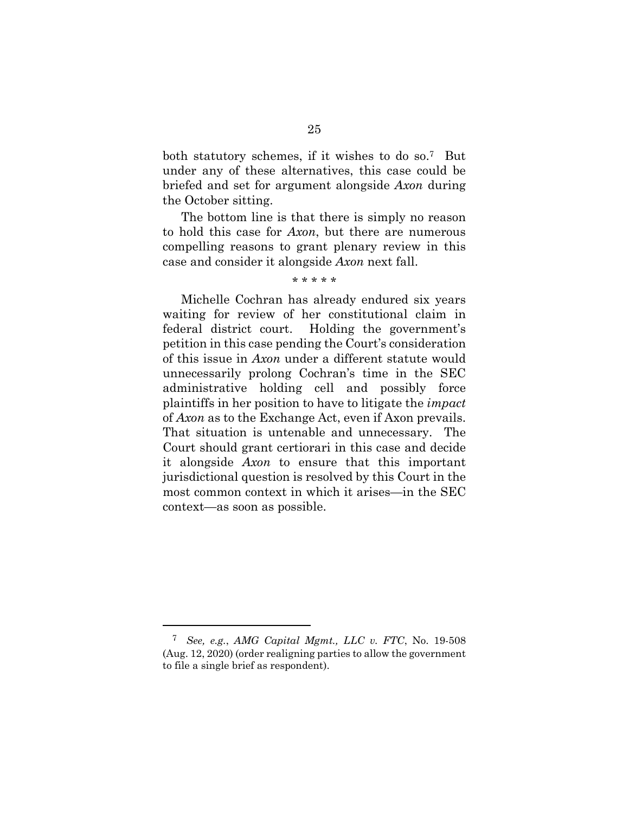both statutory schemes, if it wishes to do so.7 But under any of these alternatives, this case could be briefed and set for argument alongside *Axon* during the October sitting.

The bottom line is that there is simply no reason to hold this case for *Axon*, but there are numerous compelling reasons to grant plenary review in this case and consider it alongside *Axon* next fall.

#### \* \* \* \* \*

Michelle Cochran has already endured six years waiting for review of her constitutional claim in federal district court. Holding the government's petition in this case pending the Court's consideration of this issue in *Axon* under a different statute would unnecessarily prolong Cochran's time in the SEC administrative holding cell and possibly force plaintiffs in her position to have to litigate the *impact*  of *Axon* as to the Exchange Act, even if Axon prevails. That situation is untenable and unnecessary. The Court should grant certiorari in this case and decide it alongside *Axon* to ensure that this important jurisdictional question is resolved by this Court in the most common context in which it arises—in the SEC context—as soon as possible.

l

<sup>7</sup> *See, e.g.*, *AMG Capital Mgmt., LLC v. FTC*, No. 19-508 (Aug. 12, 2020) (order realigning parties to allow the government to file a single brief as respondent).